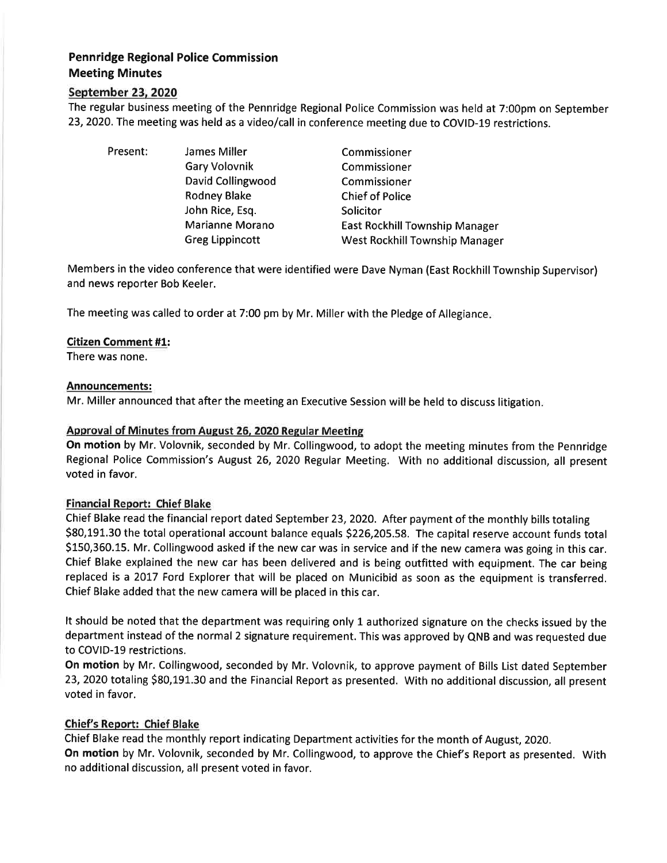# Pennridge Regional Police Commission Meeting Minutes

## September 23, 2020

The regular business meeting of the Pennridge Regional Police Commission was held at 7:00pm on September 23,2O2O. The meeting was held as a video/call in conference meeting due to COVID-19 restrictions.

Present: James Miller Gary Volovnik David Collingwood Rodney Blake John Rice, Esq. Marianne Morano Greg Lippincott Commissioner Commissioner Commissioner Chief of Police **Solicitor** East Rockhill Township Manager West Rockhill Township Manager

Members in the video conference that were identified were Dave Nyman (East Rockhill Township Supervisor) and news reporter Bob Keeler.

The meeting was called to order at 7:00 pm by Mr. Miller with the Pledge of Allegiance

## Citizen Comment #1:

There was none.

#### Announcements:

Mr. Miller announced that after the meeting an Executive Session will be held to discuss litigation

## Approval of Minutes from August 26, 2020 Regular Meeting

On motion by Mr. Volovnik, seconded by Mr. Collingwood, to adopt the meeting minutes from the Pennridge Regional Police Commission's August 26, 2020 Regular Meeting. With no additional discussion, all present voted in favor.

## Financial Report: Chief Blake

Chief Blake read the financial report dated September 23, 2020. After payment of the monthly bills totaling \$80,191.30 the total operational account balance equals \$226,205.58. The capital reserve account funds total 5150,360.15. Mr. Collingwood asked if the new carwas in service and if the new camera was going in this car. Chief Blake explained the new car has been delivered and is being outfitted with equipment. The car being replaced is a 2017 Ford Explorer that will be placed on Municibid as soon as the equipment is transferred. Chief Blake added that the new camera will be placed in this car.

It should be noted that the department was requiring only 1 authorized signature on the checks issued by the department instead of the normal 2 signature requirement. This was approved by QNB and was requested due to COVID-19 restrictions.

On motion by Mr. Collingwood, seconded by Mr. Volovnik, to approve payment of Bills List dated September 23, 2020 totaling \$80,191.30 and the Financial Report as presented. With no additional discussion, all present voted in favor.

## Chief's Report: Chief Blake

Chief Blake read the monthly report indicating Department activities for the month of August, 2020. On motion by Mr. Volovnik, seconded by Mr. Collingwood, to approve the Chief's Report as presented. With no additional discussion, all present voted in favor.